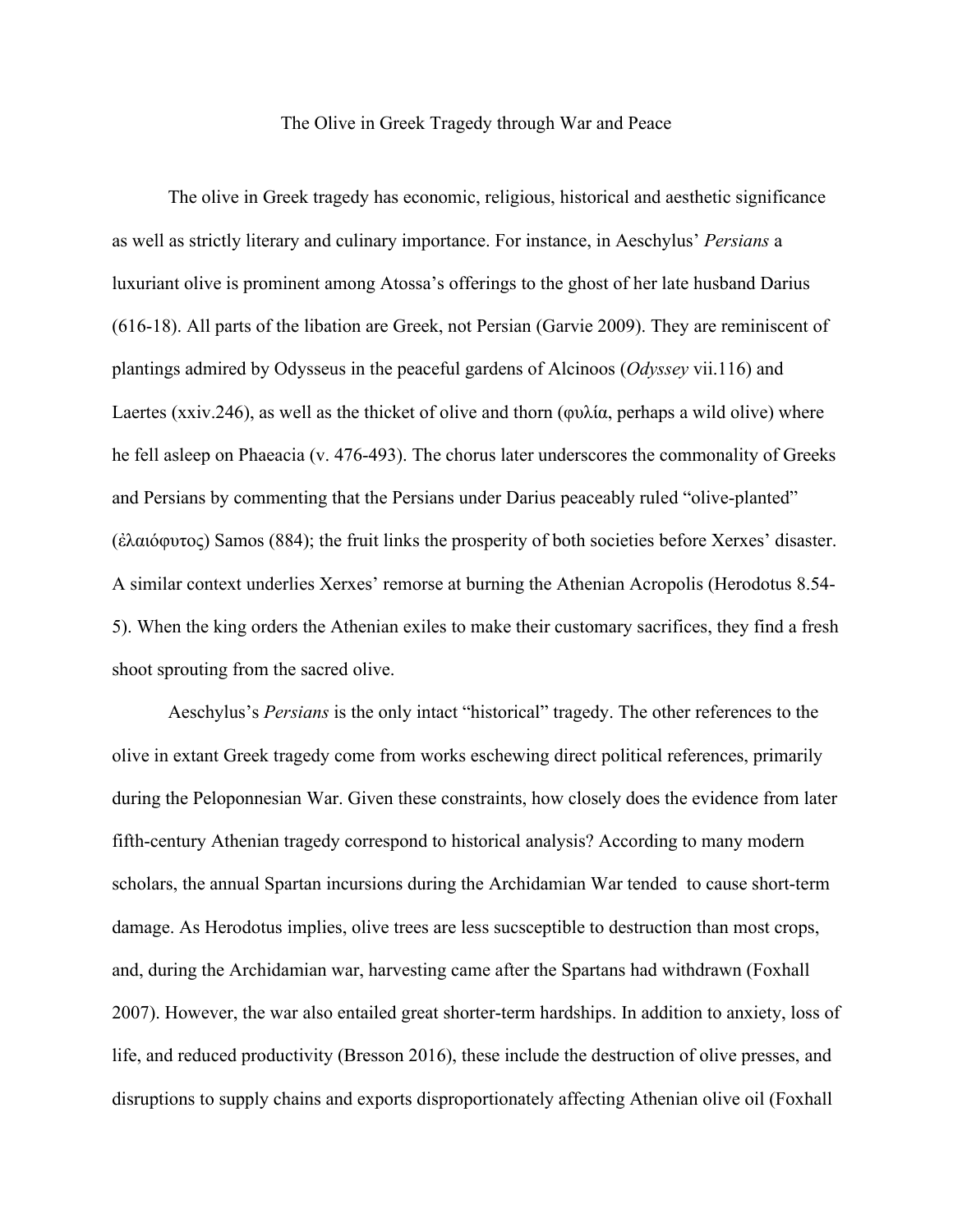## The Olive in Greek Tragedy through War and Peace

The olive in Greek tragedy has economic, religious, historical and aesthetic significance as well as strictly literary and culinary importance. For instance, in Aeschylus' *Persians* a luxuriant olive is prominent among Atossa's offerings to the ghost of her late husband Darius (616-18). All parts of the libation are Greek, not Persian (Garvie 2009). They are reminiscent of plantings admired by Odysseus in the peaceful gardens of Alcinoos (*Odyssey* vii.116) and Laertes (xxiv.246), as well as the thicket of olive and thorn (φυλία, perhaps a wild olive) where he fell asleep on Phaeacia (v. 476-493). The chorus later underscores the commonality of Greeks and Persians by commenting that the Persians under Darius peaceably ruled "olive-planted" (ἐλαιόφυτος) Samos (884); the fruit links the prosperity of both societies before Xerxes' disaster. A similar context underlies Xerxes' remorse at burning the Athenian Acropolis (Herodotus 8.54- 5). When the king orders the Athenian exiles to make their customary sacrifices, they find a fresh shoot sprouting from the sacred olive.

Aeschylus's *Persians* is the only intact "historical" tragedy. The other references to the olive in extant Greek tragedy come from works eschewing direct political references, primarily during the Peloponnesian War. Given these constraints, how closely does the evidence from later fifth-century Athenian tragedy correspond to historical analysis? According to many modern scholars, the annual Spartan incursions during the Archidamian War tended to cause short-term damage. As Herodotus implies, olive trees are less sucsceptible to destruction than most crops, and, during the Archidamian war, harvesting came after the Spartans had withdrawn (Foxhall 2007). However, the war also entailed great shorter-term hardships. In addition to anxiety, loss of life, and reduced productivity (Bresson 2016), these include the destruction of olive presses, and disruptions to supply chains and exports disproportionately affecting Athenian olive oil (Foxhall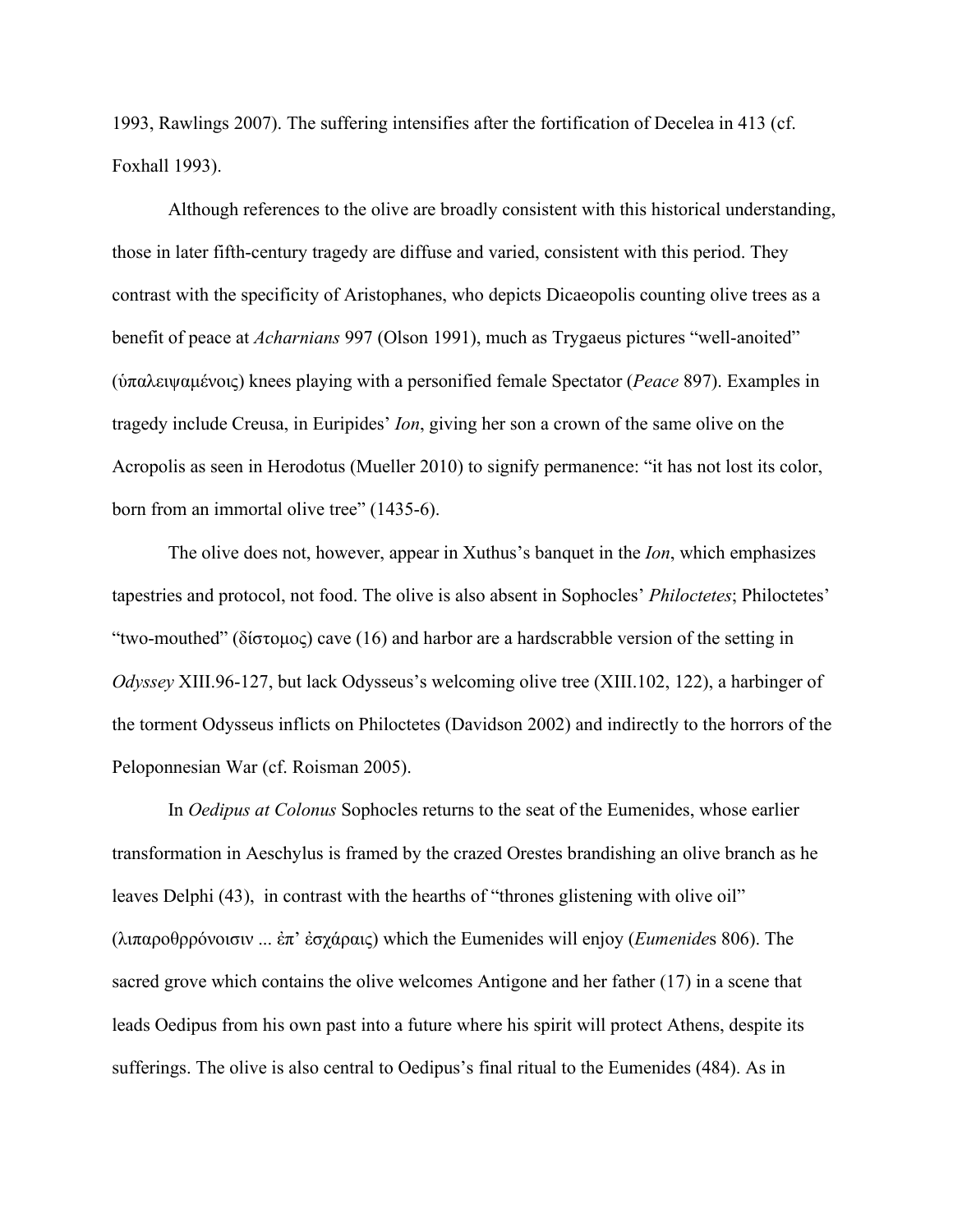1993, Rawlings 2007). The suffering intensifies after the fortification of Decelea in 413 (cf. Foxhall 1993).

Although references to the olive are broadly consistent with this historical understanding, those in later fifth-century tragedy are diffuse and varied, consistent with this period. They contrast with the specificity of Aristophanes, who depicts Dicaeopolis counting olive trees as a benefit of peace at *Acharnians* 997 (Olson 1991), much as Trygaeus pictures "well-anoited" (ὑπαλειψαμένοις) knees playing with a personified female Spectator (*Peace* 897). Examples in tragedy include Creusa, in Euripides' *Ion*, giving her son a crown of the same olive on the Acropolis as seen in Herodotus (Mueller 2010) to signify permanence: "it has not lost its color, born from an immortal olive tree" (1435-6).

The olive does not, however, appear in Xuthus's banquet in the *Ion*, which emphasizes tapestries and protocol, not food. The olive is also absent in Sophocles' *Philoctetes*; Philoctetes' "two-mouthed" (δίστομος) cave (16) and harbor are a hardscrabble version of the setting in *Odyssey* XIII.96-127, but lack Odysseus's welcoming olive tree (XIII.102, 122), a harbinger of the torment Odysseus inflicts on Philoctetes (Davidson 2002) and indirectly to the horrors of the Peloponnesian War (cf. Roisman 2005).

In *Oedipus at Colonus* Sophocles returns to the seat of the Eumenides, whose earlier transformation in Aeschylus is framed by the crazed Orestes brandishing an olive branch as he leaves Delphi (43), in contrast with the hearths of "thrones glistening with olive oil" (λιπαροθρρόνοισιν ... ἐπ' ἐσχάραις) which the Eumenides will enjoy (*Eumenide*s 806). The sacred grove which contains the olive welcomes Antigone and her father (17) in a scene that leads Oedipus from his own past into a future where his spirit will protect Athens, despite its sufferings. The olive is also central to Oedipus's final ritual to the Eumenides (484). As in